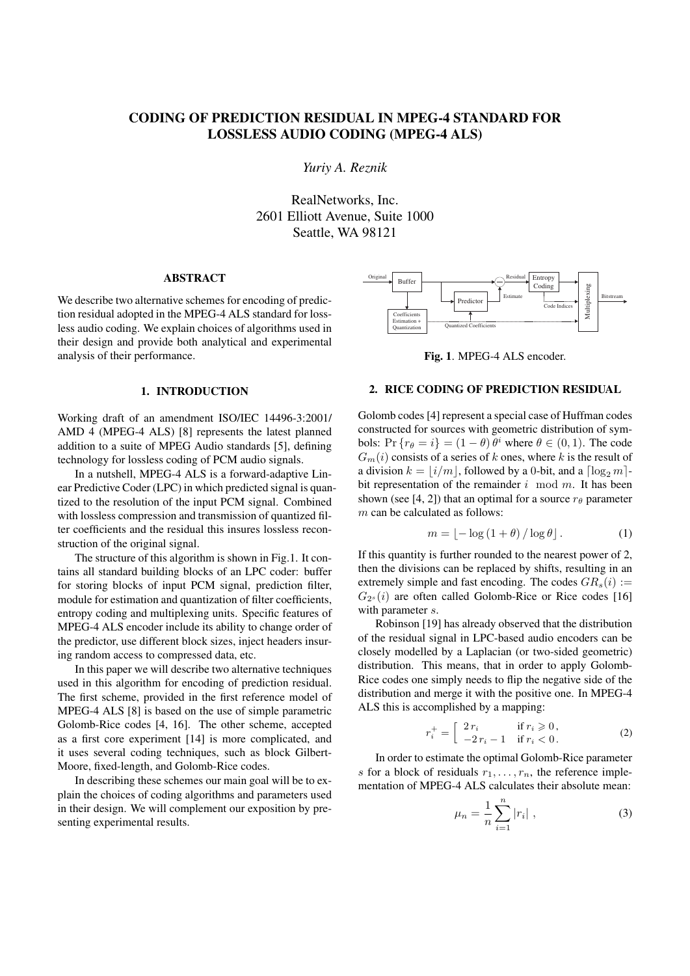# CODING OF PREDICTION RESIDUAL IN MPEG-4 STANDARD FOR LOSSLESS AUDIO CODING (MPEG-4 ALS)

*Yuriy A. Reznik*

RealNetworks, Inc. 2601 Elliott Avenue, Suite 1000 Seattle, WA 98121

## ABSTRACT

We describe two alternative schemes for encoding of prediction residual adopted in the MPEG-4 ALS standard for lossless audio coding. We explain choices of algorithms used in their design and provide both analytical and experimental analysis of their performance.

## 1. INTRODUCTION

Working draft of an amendment ISO/IEC 14496-3:2001/ AMD 4 (MPEG-4 ALS) [8] represents the latest planned addition to a suite of MPEG Audio standards [5], defining technology for lossless coding of PCM audio signals.

In a nutshell, MPEG-4 ALS is a forward-adaptive Linear Predictive Coder (LPC) in which predicted signal is quantized to the resolution of the input PCM signal. Combined with lossless compression and transmission of quantized filter coefficients and the residual this insures lossless reconstruction of the original signal.

The structure of this algorithm is shown in Fig.1. It contains all standard building blocks of an LPC coder: buffer for storing blocks of input PCM signal, prediction filter, module for estimation and quantization of filter coefficients, entropy coding and multiplexing units. Specific features of MPEG-4 ALS encoder include its ability to change order of the predictor, use different block sizes, inject headers insuring random access to compressed data, etc.

In this paper we will describe two alternative techniques used in this algorithm for encoding of prediction residual. The first scheme, provided in the first reference model of MPEG-4 ALS [8] is based on the use of simple parametric Golomb-Rice codes [4, 16]. The other scheme, accepted as a first core experiment [14] is more complicated, and it uses several coding techniques, such as block Gilbert-Moore, fixed-length, and Golomb-Rice codes. **ABSTRACT**<br>
We describe two alternative schemes for encoding of predic-<br>
tion residual adopted in the MPEG-4 ALS standard for loss-<br>
less audio coding. We explain thoices of algorithms used in<br>
their design and provide bo

In describing these schemes our main goal will be to explain the choices of coding algorithms and parameters used in their design. We will complement our exposition by pre-



Fig. 1. MPEG-4 ALS encoder.

## 2. RICE CODING OF PREDICTION RESIDUAL

Golomb codes [4] represent a special case of Huffman codes constructed for sources with geometric distribution of symbols:  $Pr\{r_{\theta} = i\} = (1 - \theta) \theta^i$  where  $\theta \in (0, 1)$ . The code  $G_m(i)$  consists of a series of *k* ones, where *k* is the result of a division  $k = |i/m|$ , followed by a 0-bit, and a  $\lceil \log_2 m \rceil$ bit representation of the remainder *i* mod *m*. It has been shown (see [4, 2]) that an optimal for a source  $r_\theta$  parameter *m* can be calculated as follows:

$$
m = \lfloor -\log(1+\theta) / \log \theta \rfloor. \tag{1}
$$

If this quantity is further rounded to the nearest power of 2, then the divisions can be replaced by shifts, resulting in an extremely simple and fast encoding. The codes  $GR_s(i)$ :  $G_{2<sup>s</sup>}(i)$  are often called Golomb-Rice or Rice codes [16] with parameter *s*.

Robinson [19] has already observed that the distribution of the residual signal in LPC-based audio encoders can be closely modelled by a Laplacian (or two-sided geometric) distribution. This means, that in order to apply Golomb-Rice codes one simply needs to flip the negative side of the distribution and merge it with the positive one. In MPEG-4 ALS this is accomplished by a mapping:

$$
r_i^+ = \begin{bmatrix} 2r_i & \text{if } r_i \geq 0, \\ -2r_i - 1 & \text{if } r_i < 0. \end{bmatrix} \tag{2}
$$

In order to estimate the optimal Golomb-Rice parameter *s* for a block of residuals  $r_1, \ldots, r_n$ , the reference implementation of MPEG-4 ALS calculates their absolute mean:

$$
\mu_n = \frac{1}{n} \sum_{i=1}^n |r_i| \;, \tag{3}
$$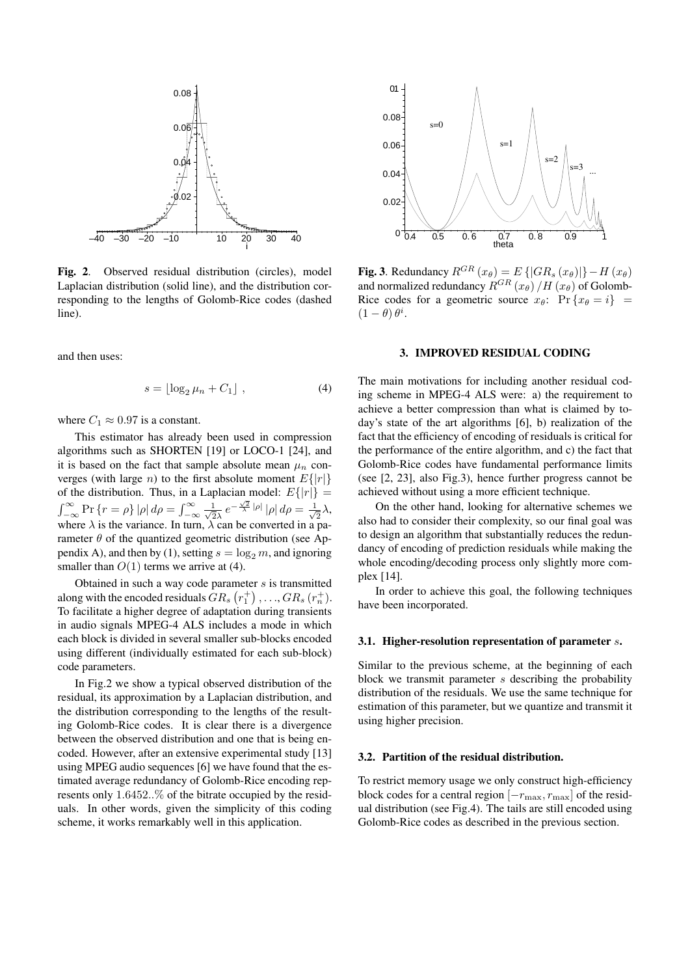

Fig. 2. Observed residual distribution (circles), model Laplacian distribution (solid line), and the distribution corresponding to the lengths of Golomb-Rice codes (dashed line).

and then uses:

$$
s = \lfloor \log_2 \mu_n + C_1 \rfloor \tag{4}
$$

where  $C_1 \approx 0.97$  is a constant.

This estimator has already been used in compression algorithms such as SHORTEN [19] or LOCO-1 [24], and it is based on the fact that sample absolute mean  $\mu_n$  converges (with large *n*) to the first absolute moment  $E\{|r|\}$ of the distribution. Thus, in a Laplacian model:  $E\{|r|\} =$  $\int_{-\infty}^{\infty} \Pr \{ r = \rho \} |\rho| d\rho = \int_{-\infty}^{\infty} \frac{1}{\sqrt{2}}$  $\frac{1}{2\lambda}e^{-\frac{\sqrt{2}}{\lambda}|\rho|}|\rho|d\rho=\frac{1}{\sqrt{2}}$ 2 *λ*, where  $\lambda$  is the variance. In turn,  $\lambda$  can be converted in a parameter  $\theta$  of the quantized geometric distribution (see Appendix A), and then by (1), setting  $s = \log_2 m$ , and ignoring smaller than  $O(1)$  terms we arrive at (4).

Obtained in such a way code parameter *s* is transmitted along with the encoded residuals  $\hat{G}R_s\left(r_1^+\right), \ldots, \hat{G}R_s\left(r_n^+\right).$ To facilitate a higher degree of adaptation during transients in audio signals MPEG-4 ALS includes a mode in which each block is divided in several smaller sub-blocks encoded using different (individually estimated for each sub-block) code parameters.

In Fig.2 we show a typical observed distribution of the residual, its approximation by a Laplacian distribution, and the distribution corresponding to the lengths of the resulting Golomb-Rice codes. It is clear there is a divergence between the observed distribution and one that is being encoded. However, after an extensive experimental study [13] using MPEG audio sequences [6] we have found that the estimated average redundancy of Golomb-Rice encoding represents only 1*.*6452*..*% of the bitrate occupied by the residuals. In other words, given the simplicity of this coding scheme, it works remarkably well in this application.



**Fig. 3.** Redundancy  $R^{GR}(x_\theta) = E\{|GR_s(x_\theta)|\} - H(x_\theta)$ and normalized redundancy  $R^{GR}(x_{\theta})/H(x_{\theta})$  of Golomb-Rice codes for a geometric source  $x_{\theta}$ :  $\Pr \{x_{\theta} = i\}$  =  $(1 - \theta) \theta^i$ .

#### 3. IMPROVED RESIDUAL CODING

The main motivations for including another residual coding scheme in MPEG-4 ALS were: a) the requirement to achieve a better compression than what is claimed by today's state of the art algorithms [6], b) realization of the fact that the efficiency of encoding of residuals is critical for the performance of the entire algorithm, and c) the fact that Golomb-Rice codes have fundamental performance limits (see [2, 23], also Fig.3), hence further progress cannot be achieved without using a more efficient technique.

On the other hand, looking for alternative schemes we also had to consider their complexity, so our final goal was to design an algorithm that substantially reduces the redundancy of encoding of prediction residuals while making the whole encoding/decoding process only slightly more complex [14].

In order to achieve this goal, the following techniques have been incorporated.

### 3.1. Higher-resolution representation of parameter *s*.

Similar to the previous scheme, at the beginning of each block we transmit parameter *s* describing the probability distribution of the residuals. We use the same technique for estimation of this parameter, but we quantize and transmit it using higher precision.

#### 3.2. Partition of the residual distribution.

To restrict memory usage we only construct high-efficiency block codes for a central region [*−r*max*, r*max] of the residual distribution (see Fig.4). The tails are still encoded using Golomb-Rice codes as described in the previous section.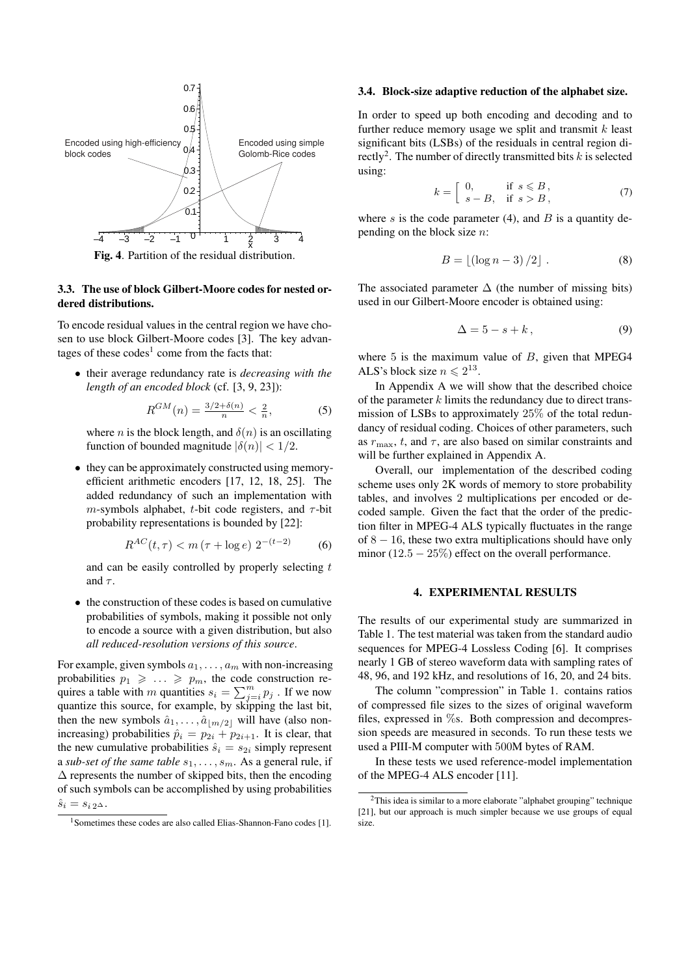

#### Fig. 4. Partition of the residual distribution.

# 3.3. The use of block Gilbert-Moore codes for nested ordered distributions.

To encode residual values in the central region we have chosen to use block Gilbert-Moore codes [3]. The key advantages of these  $codes^1$  come from the facts that:

*•* their average redundancy rate is *decreasing with the length of an encoded block* (cf. [3, 9, 23]):

$$
R^{GM}(n) = \frac{3/2 + \delta(n)}{n} < \frac{2}{n},\tag{5}
$$

where *n* is the block length, and  $\delta(n)$  is an oscillating function of bounded magnitude  $|\delta(n)| < 1/2$ .

• they can be approximately constructed using memoryefficient arithmetic encoders [17, 12, 18, 25]. The added redundancy of such an implementation with *m*-symbols alphabet, *t*-bit code registers, and  $\tau$ -bit probability representations is bounded by [22]:

$$
R^{AC}(t,\tau) < m\left(\tau + \log e\right) \, 2^{-(t-2)} \tag{6}
$$

and can be easily controlled by properly selecting *t* and  $\tau$ .

*•* the construction of these codes is based on cumulative probabilities of symbols, making it possible not only to encode a source with a given distribution, but also *all reduced-resolution versions of this source*.

For example, given symbols  $a_1, \ldots, a_m$  with non-increasing probabilities  $p_1 \geqslant \ldots \geqslant p_m$ , the code construction requires a table with *m* quantities  $s_i = \sum_{j=i}^{m} p_j$ . If we now quantize this source, for example, by skipping the last bit, then the new symbols  $\hat{a}_1, \ldots, \hat{a}_{\lfloor m/2 \rfloor}$  will have (also nonincreasing) probabilities  $\hat{p}_i = p_{2i} + p_{2i+1}$ . It is clear, that the new cumulative probabilities  $\hat{s}_i = s_{2i}$  simply represent a *sub-set of the same table s*1*, . . . , sm*. As a general rule, if  $\Delta$  represents the number of skipped bits, then the encoding of such symbols can be accomplished by using probabilities  $\hat{s}_i = s_{i2} \Delta$ .

### 3.4. Block-size adaptive reduction of the alphabet size.

In order to speed up both encoding and decoding and to further reduce memory usage we split and transmit *k* least significant bits (LSBs) of the residuals in central region directly<sup>2</sup>. The number of directly transmitted bits  $k$  is selected using:

$$
k = \begin{bmatrix} 0, & \text{if } s \leq B, \\ s - B, & \text{if } s > B, \end{bmatrix} \tag{7}
$$

where  $s$  is the code parameter (4), and  $B$  is a quantity depending on the block size *n*:

$$
B = \lfloor (\log n - 3)/2 \rfloor . \tag{8}
$$

The associated parameter  $\Delta$  (the number of missing bits) used in our Gilbert-Moore encoder is obtained using:

$$
\Delta = 5 - s + k \,, \tag{9}
$$

where 5 is the maximum value of *B*, given that MPEG4 ALS's block size  $n \leq 2^{13}$ .

In Appendix A we will show that the described choice of the parameter *k* limits the redundancy due to direct transmission of LSBs to approximately 25% of the total redundancy of residual coding. Choices of other parameters, such as  $r_{\text{max}}$ , *t*, and  $\tau$ , are also based on similar constraints and will be further explained in Appendix A.

Overall, our implementation of the described coding scheme uses only 2K words of memory to store probability tables, and involves 2 multiplications per encoded or decoded sample. Given the fact that the order of the prediction filter in MPEG-4 ALS typically fluctuates in the range of 8 *−* 16, these two extra multiplications should have only minor (12*.*5 *−* 25%) effect on the overall performance.

### 4. EXPERIMENTAL RESULTS

The results of our experimental study are summarized in Table 1. The test material was taken from the standard audio sequences for MPEG-4 Lossless Coding [6]. It comprises nearly 1 GB of stereo waveform data with sampling rates of 48, 96, and 192 kHz, and resolutions of 16, 20, and 24 bits.

The column "compression" in Table 1. contains ratios of compressed file sizes to the sizes of original waveform files, expressed in %s. Both compression and decompression speeds are measured in seconds. To run these tests we used a PIII-M computer with 500M bytes of RAM.

In these tests we used reference-model implementation of the MPEG-4 ALS encoder [11].

<sup>&</sup>lt;sup>1</sup>Sometimes these codes are also called Elias-Shannon-Fano codes [1].

 $2$ This idea is similar to a more elaborate "alphabet grouping" technique [21], but our approach is much simpler because we use groups of equal size.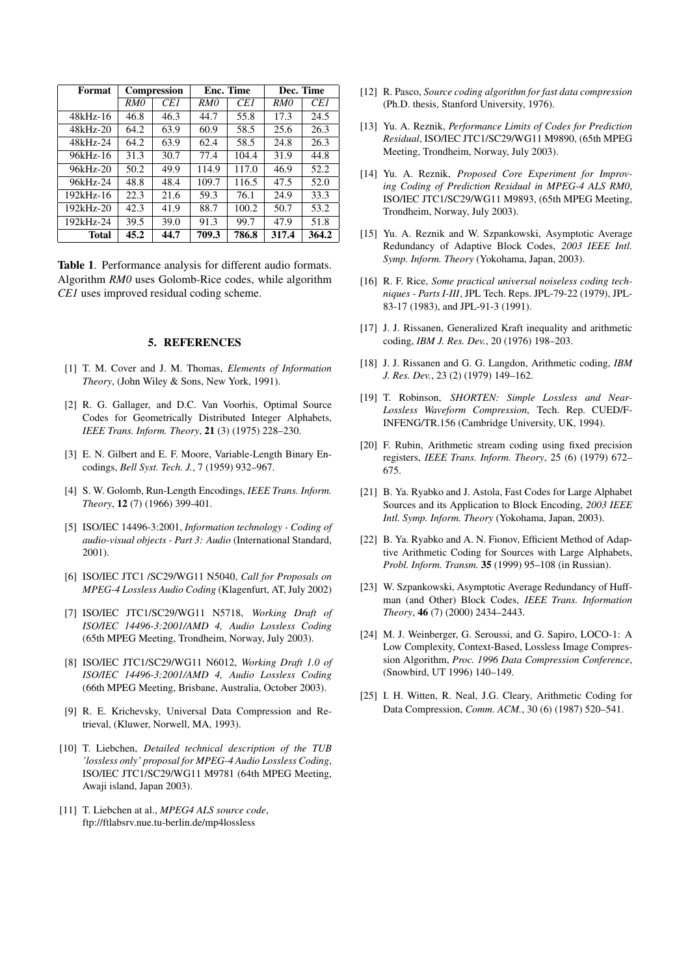| Format        | <b>Compression</b> |      | Enc. Time |       | Dec. Time |       |
|---------------|--------------------|------|-----------|-------|-----------|-------|
|               | RM <sub>0</sub>    | CE1  | RM0       | CE1   | RMO       | CE1   |
| $48kHz-16$    | 46.8               | 46.3 | 44.7      | 55.8  | 17.3      | 24.5  |
| $48kHz-20$    | 64.2               | 63.9 | 60.9      | 58.5  | 25.6      | 26.3  |
| 48kHz-24      | 64.2               | 63.9 | 62.4      | 58.5  | 24.8      | 26.3  |
| 96kHz-16      | 31.3               | 30.7 | 77.4      | 104.4 | 31.9      | 44.8  |
| 96kHz-20      | 50.2               | 49.9 | 114.9     | 117.0 | 46.9      | 52.2  |
| 96kHz-24      | 48.8               | 48.4 | 109.7     | 116.5 | 47.5      | 52.0  |
| $192kHz - 16$ | 22.3               | 21.6 | 59.3      | 76.1  | 24.9      | 33.3  |
| $192kHz - 20$ | 42.3               | 41.9 | 88.7      | 100.2 | 50.7      | 53.2  |
| 192kHz-24     | 39.5               | 39.0 | 91.3      | 99.7  | 47.9      | 51.8  |
| Total         | 45.2               | 44.7 | 709.3     | 786.8 | 317.4     | 364.2 |

Table 1. Performance analysis for different audio formats. Algorithm *RM0* uses Golomb-Rice codes, while algorithm *CE1* uses improved residual coding scheme.

# 5. REFERENCES

- [1] T. M. Cover and J. M. Thomas, *Elements of Information Theory*, (John Wiley & Sons, New York, 1991).
- [2] R. G. Gallager, and D.C. Van Voorhis, Optimal Source Codes for Geometrically Distributed Integer Alphabets, *IEEE Trans. Inform. Theory*, 21 (3) (1975) 228–230.
- [3] E. N. Gilbert and E. F. Moore, Variable-Length Binary Encodings, *Bell Syst. Tech. J.*, 7 (1959) 932–967.
- [4] S. W. Golomb, Run-Length Encodings, *IEEE Trans. Inform. Theory*, 12 (7) (1966) 399-401.
- [5] ISO/IEC 14496-3:2001, *Information technology Coding of audio-visual objects - Part 3: Audio* (International Standard, 2001).
- [6] ISO/IEC JTC1 /SC29/WG11 N5040, *Call for Proposals on MPEG-4 Lossless Audio Coding* (Klagenfurt, AT, July 2002)
- [7] ISO/IEC JTC1/SC29/WG11 N5718, *Working Draft of ISO/IEC 14496-3:2001/AMD 4, Audio Lossless Coding* (65th MPEG Meeting, Trondheim, Norway, July 2003).
- [8] ISO/IEC JTC1/SC29/WG11 N6012, *Working Draft 1.0 of ISO/IEC 14496-3:2001/AMD 4, Audio Lossless Coding* (66th MPEG Meeting, Brisbane, Australia, October 2003).
- [9] R. E. Krichevsky, Universal Data Compression and Retrieval, (Kluwer, Norwell, MA, 1993).
- [10] T. Liebchen, *Detailed technical description of the TUB 'lossless only' proposal for MPEG-4 Audio Lossless Coding*, ISO/IEC JTC1/SC29/WG11 M9781 (64th MPEG Meeting, Awaji island, Japan 2003).
- [11] T. Liebchen at al., *MPEG4 ALS source code*, ftp://ftlabsrv.nue.tu-berlin.de/mp4lossless
- [12] R. Pasco, *Source coding algorithm for fast data compression* (Ph.D. thesis, Stanford University, 1976).
- [13] Yu. A. Reznik, *Performance Limits of Codes for Prediction Residual*, ISO/IEC JTC1/SC29/WG11 M9890, (65th MPEG Meeting, Trondheim, Norway, July 2003).
- [14] Yu. A. Reznik, *Proposed Core Experiment for Improving Coding of Prediction Residual in MPEG-4 ALS RM0*, ISO/IEC JTC1/SC29/WG11 M9893, (65th MPEG Meeting, Trondheim, Norway, July 2003).
- [15] Yu. A. Reznik and W. Szpankowski, Asymptotic Average Redundancy of Adaptive Block Codes, *2003 IEEE Intl. Symp. Inform. Theory* (Yokohama, Japan, 2003).
- [16] R. F. Rice, *Some practical universal noiseless coding techniques - Parts I-III*, JPL Tech. Reps. JPL-79-22 (1979), JPL-83-17 (1983), and JPL-91-3 (1991).
- [17] J. J. Rissanen, Generalized Kraft inequality and arithmetic coding, *IBM J. Res. Dev.*, 20 (1976) 198–203.
- [18] J. J. Rissanen and G. G. Langdon, Arithmetic coding, *IBM J. Res. Dev.*, 23 (2) (1979) 149–162.
- [19] T. Robinson, *SHORTEN: Simple Lossless and Near-Lossless Waveform Compression*, Tech. Rep. CUED/F-INFENG/TR.156 (Cambridge University, UK, 1994).
- [20] F. Rubin, Arithmetic stream coding using fixed precision registers, *IEEE Trans. Inform. Theory*, 25 (6) (1979) 672– 675.
- [21] B. Ya. Ryabko and J. Astola, Fast Codes for Large Alphabet Sources and its Application to Block Encoding, *2003 IEEE Intl. Symp. Inform. Theory* (Yokohama, Japan, 2003).
- [22] B. Ya. Ryabko and A. N. Fionov, Efficient Method of Adaptive Arithmetic Coding for Sources with Large Alphabets, *Probl. Inform. Transm.* 35 (1999) 95–108 (in Russian).
- [23] W. Szpankowski, Asymptotic Average Redundancy of Huffman (and Other) Block Codes, *IEEE Trans. Information Theory*, 46 (7) (2000) 2434–2443.
- [24] M. J. Weinberger, G. Seroussi, and G. Sapiro, LOCO-1: A Low Complexity, Context-Based, Lossless Image Compression Algorithm, *Proc. 1996 Data Compression Conference*, (Snowbird, UT 1996) 140–149.
- [25] I. H. Witten, R. Neal, J.G. Cleary, Arithmetic Coding for Data Compression, *Comm. ACM.*, 30 (6) (1987) 520–541.